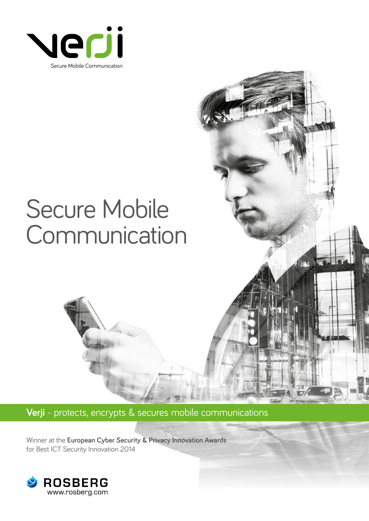

# Secure Mobile **Communication**

**Verji** - protects, encrypts & secures mobile communications

Winner at the **European Cyber Security & Privacy Innovation Awards** for Best ICT Security Innovation 2014

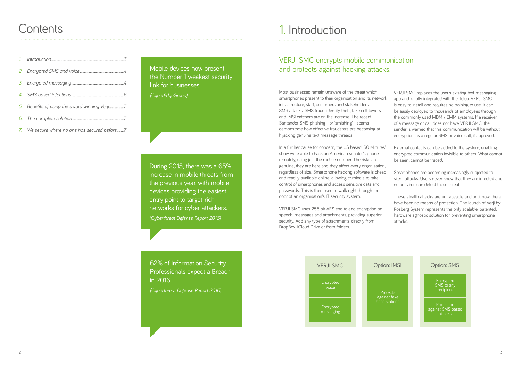### **Contents**

## 1. Introduction

In a further cause for concern, the US based '60 Minutes' show were able to hack an American senator's phone remotely, using just the mobile number. The risks are genuine, they are here and they affect every organisation, regardless of size. Smartphone hacking software is cheap and readily available online, allowing criminals to take control of smartphones and access sensitive data and passwords. This is then used to walk right through the door of an organisation's IT security system.

Most businesses remain unaware of the threat which smartphones present to their organisation and its network infrastructure, staff, customers and stakeholders. SMS attacks, SMS fraud, identity theft, fake cell towers and IMSI catchers are on the increase. The recent Santander SMS phishing - or 'smishing' - scams demonstrate how effective fraudsters are becoming at hijacking genuine text message threads. VERJI SMC replaces the user's existing text messaging app and is fully integrated with the Telco. VERJI SMC is easy to install and requires no training to use. It can be easily deployed to thousands of employees through the commonly used MDM / EMM systems. If a receiver of a message or call does not have VERJI SMC, the sender is warned that this communication will be without encryption, as a regular SMS or voice call, if approved.

VERJI SMC uses 256 bit AES end to end encryption on speech, messages and attachments, providing superior security. Add any type of attachments directly from DropBox, iCloud Drive or from folders.

External contacts can be added to the system, enabling encrypted communication invisible to others. What cannot be seen, cannot be traced.

Smartphones are becoming increasingly subjected to silent attacks. Users never know that they are infected and no antivirus can detect these threats.

These stealth attacks are untraceable and until now, there have been no means of protection. The launch of Verji by Rosberg System represents the only scalable, patented, hardware agnostic solution for preventing smartphone attacks.

### VERJI SMC encrypts mobile communication and protects against hacking attacks.



Mobile devices now present the Number 1 weakest security link for businesses. *(CyberEdgeGroup)*

During 2015, there was a 65% increase in mobile threats from the previous year, with mobile devices providing the easiest entry point to target-rich networks for cyber attackers. *(Cyberthreat Defense Report 2016)*

62% of Information Security Professionals expect a Breach in 2016.

*(Cyberthreat Defense Report 2016)*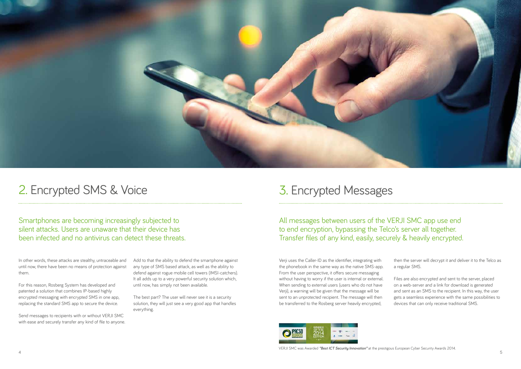

## 2. Encrypted SMS & Voice

In other words, these attacks are stealthy, untraceable and until now, there have been no means of protection against them.

For this reason, Rosberg System has developed and patented a solution that combines IP-based highly encrypted messaging with encrypted SMS in one app, replacing the standard SMS app to secure the device.

Send messages to recipients with or without VERJI SMC with ease and securely transfer any kind of file to anyone.

Smartphones are becoming increasingly subjected to silent attacks. Users are unaware that their device has been infected and no antivirus can detect these threats.

 $4\overline{5}$ VERJI SMC was Awarded *"Best ICT Security Innovation"* at the prestigous European Cyber Security Awards 2014.

Add to that the ability to defend the smartphone against any type of SMS based attack, as well as the ability to defend against rogue mobile cell towers (IMSI-catchers). It all adds up to a very powerful security solution which, until now, has simply not been available.

The best part? The user will never see it is a security solution, they will just see a very good app that handles everything.

### 3. Encrypted Messages

Verji uses the Caller-ID as the identifier, integrating with the phonebook in the same way as the native SMS-app. From the user perspective, it offers secure messaging without having to worry if the user is internal or external. When sending to external users (users who do not have Verji), a warning will be given that the message will be sent to an unprotected recipient. The message will then be transferred to the Rosberg server heavily encrypted,



All messages between users of the VERJI SMC app use end to end encryption, bypassing the Telco's server all together. Transfer files of any kind, easily, securely & heavily encrypted.

> then the server will decrypt it and deliver it to the Telco as a regular SMS.

Files are also encrypted and sent to the server, placed on a web-server and a link for download is generated and sent as an SMS to the recipient. In this way, the user gets a seamless experience with the same possibilities to devices that can only receive traditional SMS.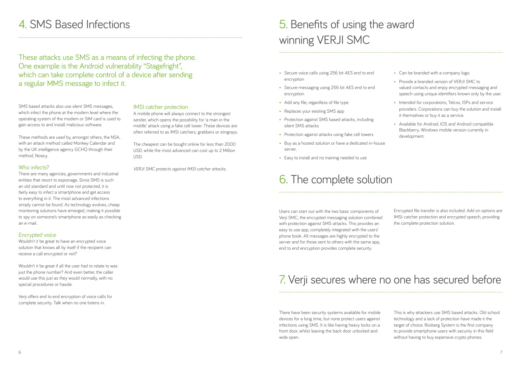## 4. SMS Based Infections

SMS based attacks also use silent SMS messages, which infect the phone at the modem level where the operating system of the modem or SIM card is used to gain access to and install malicious software.

These methods are used by, amongst others, the NSA, with an attack method called Monkey Calendar and by the UK intelligence agency GCHQ through their method, Nose.y.

### Who infects?

There are many agencies, governments and industrial entities that resort to espionage. Since SMS is such an old standard and until now not protected, it is fairly easy to infect a smartphone and get access to everything in it. The most advanced infections simply cannot be found. As technology evolves, cheap monitoring solutions have emerged, making it possible to spy on someone's smartphone as easily as checking an e-mail.

### Encrypted voice

Wouldn't it be great to have an encrypted voice solution that knows all by itself if the recipient can receive a call encrypted or not?

Wouldn't it be great if all the user had to relate to was just the phone number? And even better, the caller would use this just as they would normally, with no special procedures or hassle.

Verji offers end to end encryption of voice calls for complete security. Talk when no one listens in.

## 5. Benefits of using the award winning VERJI SMC

- Can be branded with a company logo.
- Provide a branded version of VFR II SMC to valued contacts and enjoy encrypted messaging and speech using unique identifiers known only by the user.
- Intended for corporations, Telcos, ISPs and service providers. Corporations can buy the solution and install it themselves or buy it as a service.
- Available for Android, IOS and Android compatible Blackberry. Windows mobile version currently in development.
- Secure voice calls using 256 bit AES end to end encryption
- Secure messaging using 256 bit AES end to end encryption
- Add any file, regardless of file type
- Replaces your existing SMS app
- Protection against SMS based attacks, including silent SMS attacks
- Protection against attacks using fake cell towers
- Buy as a hosted solution or have a dedicated in-house server.
- Easy to install and no training needed to use

### 6. The complete solution

Users can start out with the two basic components of Verji SMC, the encrypted messaging solution combined with protection against SMS-attacks. This provides an easy to use app, completely integrated with the users' phone book. All messages are highly encrypted to the server and for those sent to others with the same app, end to end encryption provides complete security.

## 7. Verji secures where no one has secured before

There have been security systems available for mobile devices for a long time, but none protect users against infections using SMS. It is like having heavy locks on a front door, whilst leaving the back door unlocked and wide open.

### IMSI catcher protection

A mobile phone will always connect to the strongest sender, which opens the possibility for 'a man in the middle' attack using a fake cell tower. These devices are often referred to as IMSI catchers, grabbers or stingrays.

The cheapest can be bought online for less than 2000 USD, while the most advanced can cost up to 2 Million USD.

*VERJI SMC protects against IMSI catcher attacks.*

These attacks use SMS as a means of infecting the phone. One example is the Android vulnerability "Stagefright", which can take complete control of a device after sending a regular MMS message to infect it.

> Encrypted file transfer is also included. Add on options are IMSI-catcher protection and encrypted speech, providing the complete protection solution.

This is why attackers use SMS based attacks. Old school technology and a lack of protection have made it the target of choice. Rosberg System is the first company to provide smartphone users with security in this field without having to buy expensive crypto phones.